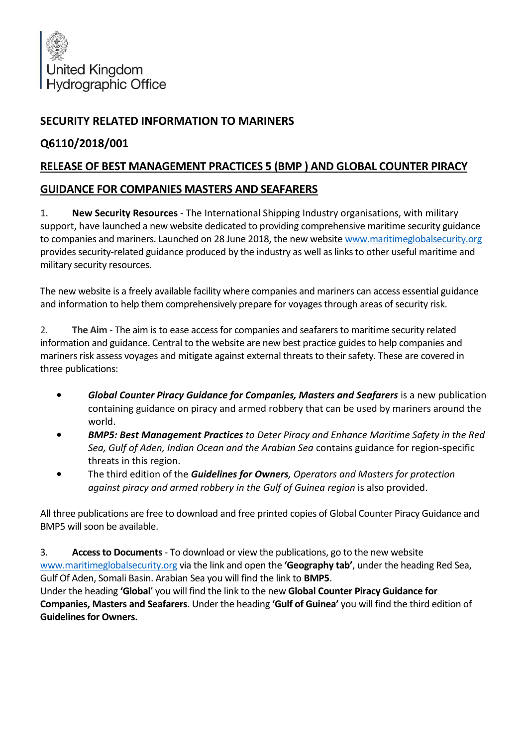

## **SECURITY RELATED INFORMATION TO MARINERS**

## **Q6110/2018/001**

## **RELEASE OF BEST MANAGEMENT PRACTICES 5 (BMP ) AND GLOBAL COUNTER PIRACY**

## **GUIDANCE FOR COMPANIES MASTERS AND SEAFARERS**

1. **New Security Resources** - The International Shipping Industry organisations, with military support, have launched a new website dedicated to providing comprehensive maritime security guidance to companies and mariners. Launched on 28 June 2018, the new website [www.maritimeglobalsecurity.org](http://www.maritimeglobalsecurity.org/) provides security-related guidance produced by the industry as well as links to other useful maritime and military security resources.

The new website is a freely available facility where companies and mariners can access essential guidance and information to help them comprehensively prepare for voyages through areas of security risk.

2. **The Aim** - The aim is to ease access for companies and seafarers to maritime security related information and guidance. Central to the website are new best practice guides to help companies and mariners risk assess voyages and mitigate against external threats to their safety. These are covered in three publications:

- *Global Counter Piracy Guidance for Companies, Masters and Seafarers* is a new publication containing guidance on piracy and armed robbery that can be used by mariners around the world.
- *BMP5: Best Management Practices to Deter Piracy and Enhance Maritime Safety in the Red Sea, Gulf of Aden, Indian Ocean and the Arabian Sea* contains guidance for region-specific threats in this region.
- The third edition of the *Guidelines for Owners, Operators and Masters for protection against piracy and armed robbery in the Gulf of Guinea region* is also provided.

All three publications are free to download and free printed copies of Global Counter Piracy Guidance and BMP5 will soon be available.

3. **Access to Documents**- To download or view the publications, go to the new website [www.maritimeglobalsecurity.org](http://www.maritimeglobalsecurity.org/) via the link and open the **'Geography tab'**, under the heading Red Sea, Gulf Of Aden, Somali Basin. Arabian Sea you will find the link to **BMP5**.

Under the heading **'Global**' you will find the link to the new **Global Counter Piracy Guidance for Companies, Masters and Seafarers**. Under the heading **'Gulf of Guinea'** you will find the third edition of **Guidelines for Owners.**